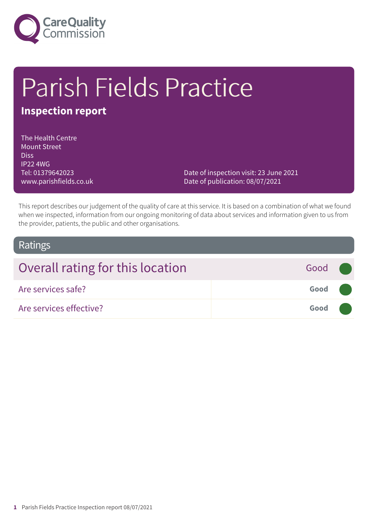

# Parish Fields Practice

### **Inspection report**

The Health Centre Mount Street Diss IP22 4WG Tel: 01379642023 www.parishfields.co.uk

Date of inspection visit: 23 June 2021 Date of publication: 08/07/2021

This report describes our judgement of the quality of care at this service. It is based on a combination of what we found when we inspected, information from our ongoing monitoring of data about services and information given to us from the provider, patients, the public and other organisations.

#### Ratings

| Overall rating for this location | Good (              |  |
|----------------------------------|---------------------|--|
| Are services safe?               | Good (              |  |
| Are services effective?          | Good <b>Company</b> |  |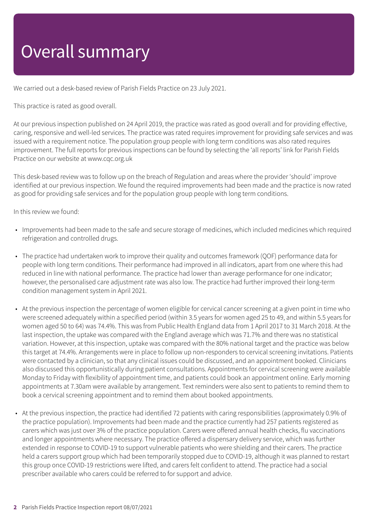### Overall summary

We carried out a desk-based review of Parish Fields Practice on 23 July 2021.

This practice is rated as good overall.

At our previous inspection published on 24 April 2019, the practice was rated as good overall and for providing effective, caring, responsive and well-led services. The practice was rated requires improvement for providing safe services and was issued with a requirement notice. The population group people with long term conditions was also rated requires improvement. The full reports for previous inspections can be found by selecting the 'all reports' link for Parish Fields Practice on our website at www.cqc.org.uk

This desk-based review was to follow up on the breach of Regulation and areas where the provider 'should' improve identified at our previous inspection. We found the required improvements had been made and the practice is now rated as good for providing safe services and for the population group people with long term conditions.

In this review we found:

- Improvements had been made to the safe and secure storage of medicines, which included medicines which required refrigeration and controlled drugs.
- The practice had undertaken work to improve their quality and outcomes framework (QOF) performance data for people with long term conditions. Their performance had improved in all indicators, apart from one where this had reduced in line with national performance. The practice had lower than average performance for one indicator; however, the personalised care adjustment rate was also low. The practice had further improved their long-term condition management system in April 2021.
- At the previous inspection the percentage of women eligible for cervical cancer screening at a given point in time who were screened adequately within a specified period (within 3.5 years for women aged 25 to 49, and within 5.5 years for women aged 50 to 64) was 74.4%. This was from Public Health England data from 1 April 2017 to 31 March 2018. At the last inspection, the uptake was compared with the England average which was 71.7% and there was no statistical variation. However, at this inspection, uptake was compared with the 80% national target and the practice was below this target at 74.4%. Arrangements were in place to follow up non-responders to cervical screening invitations. Patients were contacted by a clinician, so that any clinical issues could be discussed, and an appointment booked. Clinicians also discussed this opportunistically during patient consultations. Appointments for cervical screening were available Monday to Friday with flexibility of appointment time, and patients could book an appointment online. Early morning appointments at 7.30am were available by arrangement. Text reminders were also sent to patients to remind them to book a cervical screening appointment and to remind them about booked appointments.
- At the previous inspection, the practice had identified 72 patients with caring responsibilities (approximately 0.9% of the practice population). Improvements had been made and the practice currently had 257 patients registered as carers which was just over 3% of the practice population. Carers were offered annual health checks, flu vaccinations and longer appointments where necessary. The practice offered a dispensary delivery service, which was further extended in response to COVID-19 to support vulnerable patients who were shielding and their carers. The practice held a carers support group which had been temporarily stopped due to COVID-19, although it was planned to restart this group once COVID-19 restrictions were lifted, and carers felt confident to attend. The practice had a social prescriber available who carers could be referred to for support and advice.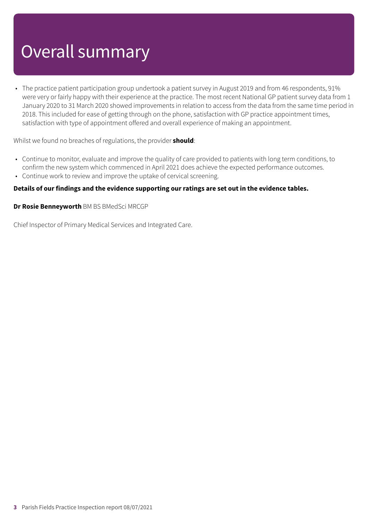## Overall summary

• The practice patient participation group undertook a patient survey in August 2019 and from 46 respondents, 91% were very or fairly happy with their experience at the practice. The most recent National GP patient survey data from 1 January 2020 to 31 March 2020 showed improvements in relation to access from the data from the same time period in 2018. This included for ease of getting through on the phone, satisfaction with GP practice appointment times, satisfaction with type of appointment offered and overall experience of making an appointment.

Whilst we found no breaches of regulations, the provider **should**:

- Continue to monitor, evaluate and improve the quality of care provided to patients with long term conditions, to confirm the new system which commenced in April 2021 does achieve the expected performance outcomes.
- Continue work to review and improve the uptake of cervical screening.

#### **Details of our findings and the evidence supporting our ratings are set out in the evidence tables.**

**Dr Rosie Benneyworth** BM BS BMedSci MRCGP

Chief Inspector of Primary Medical Services and Integrated Care.